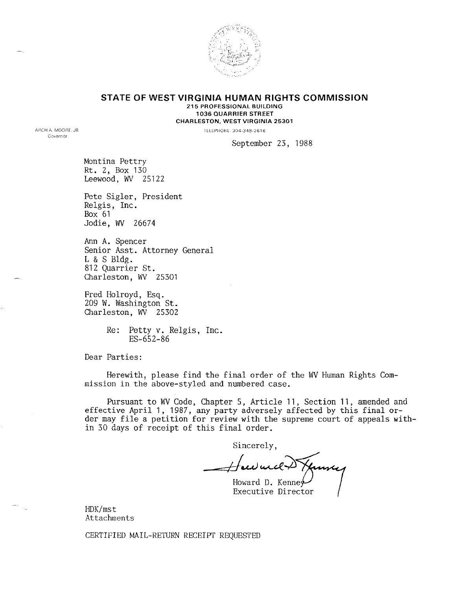

# **STATE OF WEST VIRGINIA HUMAN RIGHTS COMMISSION** 215 PROFESSIONAL BUILDING 1036 QUARRIER STREET CHARLESTON, WEST VIRGINIA 25301

TELEPHONE 304·348·2616

September 23, 1988

Montina Pettry Rt. 2, Box 130 Leewood, WV 25122

ARCH A MOORE. JR Governor

> Pete Sigler, President Relgis, Inc. Box 61 Jodie, WV 26674

Ann A. Spencer Senior Asst. Attorney General L & S Bldg. 812 Quarrier St. Charleston, WV 25301

Fred Holroyd, Esq. 209 W. Washington St. Charleston, WV 25302

> Re: Petty v. Relgis, Inc. ES-6S2-86

Dear Parties:

Herewith, please find the final order of the WV Human Rights Commission in the above-styled and numbered case.

Pursuant to WV Code, Chapter 5, Article 11, Section 11, amended and effective April 1, 1987, any party adversely affected by this final order may file a petition for review with the supreme court of appeals within 30 days of receipt of this final order.

Sincerely,

Howard D. Kenne **Executive Director** 

HDK/mst Attachments

CERTIFIED MAIL-RETURN RECEIPT REQUESTED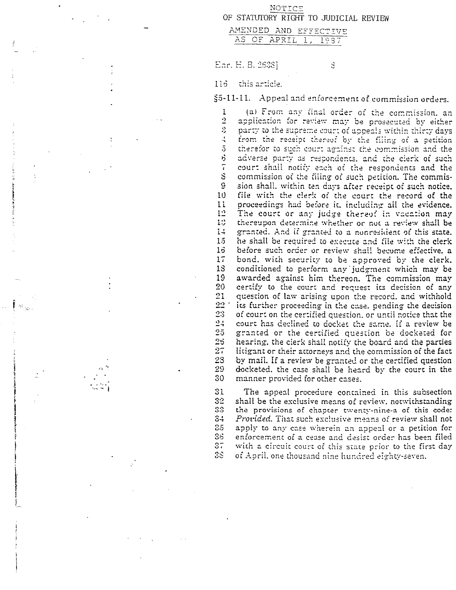|                                               | NOTICE |                                       |  |
|-----------------------------------------------|--------|---------------------------------------|--|
|                                               |        | OF STATUTORY RIGHT TO JUDICIAL REVIEW |  |
| AMENDED AND EFFECTIVE<br>____________________ |        |                                       |  |

AS OF APRIL 1, 1937

Enr. H. B. 2638]

3

#### $1:5$ this article.

 $17$ 

 $21$ 

 $23$ 

 $2 +$ 

 $25$ 

 $25$ 

 $27$ 

28

29

30

31

 $32$ 

33

 $3 +$ 

 $35<sub>1</sub>$ 

 $33<sub>1</sub>$ 

 $37$ 

 $38<sub>1</sub>$ 

§5-11-11. Appeal and enforcement of commission orders.

(a) From any final order of the commission, an 1  $\cdot$ application for review may be prosecuted by either Š. party to the supreme court of appeals within thirty days from the receipt thereof by the filing of a petition  $\frac{t}{\tau}$  $\overline{5}$ therefor to such court against the commission and the ò adverse party as respondents, and the clerk of such  $\tilde{i}$ court shall notify each of the respondents and the S commission of the filling of such petition. The commis- $\rm{g}$ sion shall, within ten days after receipt of such notice.  $10$ file with the clerk of the court the record of the  $11$ proceedings had before it, including all the evidence.  $12\,$ The court or any judge thereof in vacation may 13 thereupon determine whether or not a review shall be  $1\div$ granted. And if granted to a nonresident of this state.  $15$ he shall be required to execute and file with the clerk  $15$ before such order or review shall become effective, a bond, with security to be approved by the clerk. 13 conditioned to perform any judgment which may be 19 awarded against him thereon. The commission may 20 certify to the court and request its decision of any question of law arising upon the record, and withhold  $22$ its further proceeding in the case, pending the decision of court on the certified question, or until notice that the court has declined to docket the same. If a review be granted or the certified question be docketed for hearing, the cierk shall notify the board and the parties litigant or their attorneys and the commission of the fact by mail. If a review be granted or the certified question docketed, the case shall be heard by the court in the manner provided for other cases.

The appeal procedure contained in this subsection shall be the exclusive means of review, notwithstanding the provisions of chapter twenty-nine-a of this code: *Provided.* That such exclusive means of review shall not apply to any case wherein an appeal or a petition for enforcement of a cease and desist order has been filed with a circuit court of this state prior to the first day of April, one thousand nine hundred eighty-seven.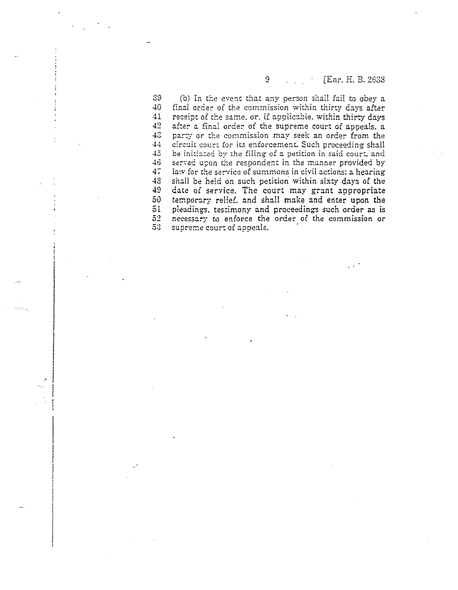# 9 [Enr. H. B. 2638]

39 (b) In the event that any person shall fail to obey a 40 final order or the commission within thirty days after 41 receipt of the same, or, if applicable, within thirty days  $42$  after a final order of the supreme court of appeals, a after a final order of the supreme court of appeals. a 43 party or the commission may seek an order from the 44 circuit court for its enforcement. Such proceeding shall 45 be initiated by the filing of a petition in said court. and 46 served upon the respondent in the manner provided by 47 law for the service of summons in civil actions: a hearing 48 shall be held on such petition within sixty days of the 49 date of service. The court may grunt appropriate 50 temporary relief. and shall make and enter upon the 51 pleadings, testimony and proceedings such order as is<br>52 necessary to enforce the order of the commission or necessary to enforce the order of the commission or 5:3 supreme court of appeals.

rsen.<br>P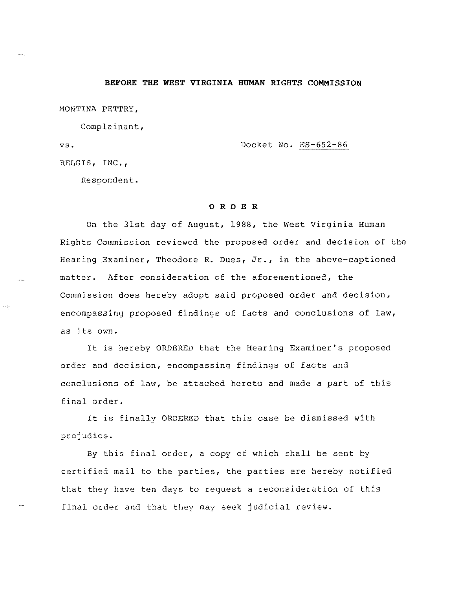#### **BEFORE THE WEST VIRGINIA HUMAN RIGHTS COMMISSION**

MONTINA PETTRY,

Complainant,

vs. Docket No. ES-652-86

RELGIS, INC.,

Respondent.

# o R D E R

On the 31st day of August, 1988, the West Virginia Human Rights Commission reviewed the proposed order and decision of the Hearing Examiner, Theodore R. Dues, **Jr.,** in the above-captioned matter. After consideration of the aforementioned, the Commission does hereby adopt said proposed order and decision, encompassing proposed findings of facts and conclusions of law, as its own.

It is hereby ORDERED that the Hearing Examiner's proposed order and decision, encompassing findings of facts and conclusions of law, be attached hereto and made a part of this final order.

It is finally ORDERED that this case be dismissed with prejudice.

By this final order, a copy of which shall be sent by certified mail to the parties, the parties are hereby notified that they have ten days to request a reconsideration of this final order and that they may seek judicial review.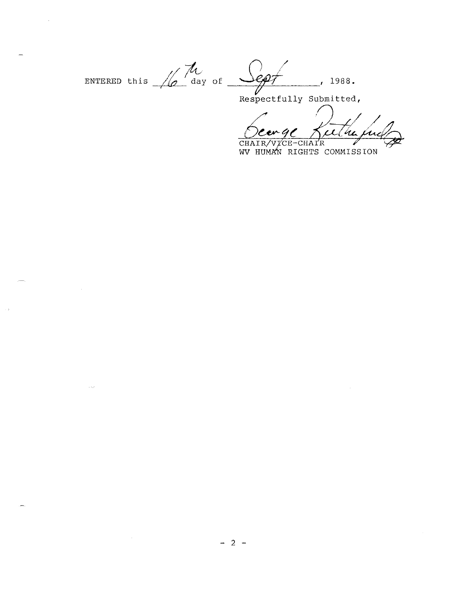ENTERED this  $\sqrt{\phi}$  day of  $\frac{1}{\sqrt{\phi}}$ 1988. CD T  $\overline{1}$ 

 $\sim$ 

 $\sim$  100  $\mu$ 

Respectfully Submitted,

ulle  $\mathcal{C}$ en 4 $\mathcal{C}$ v.

CHAIR/VICE-CHAIR<br>WV HUMAN RIGHTS COMMISSION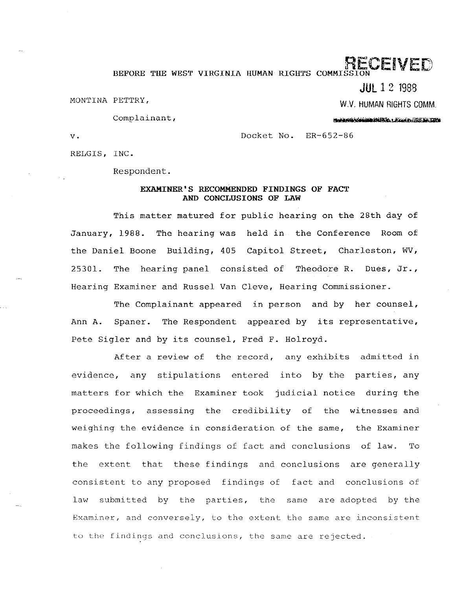# RECEIVED

BEFORE THE WEST VIRGINIA HUMAN RIGHTS COMMISS

**JUL** 1 2 1988

MONTINA PETTRY,

W.V, HUMAN RIGHTS COMM, Notes the Committee of the committee of the

Complainant,

v. Docket No. ER-652-86

RELGIS, INC.

Respondent.

# EXAMINER'S RECOMMENDED FINDINGS OF FACT AND CONCLUSIONS OF LAW

This matter matured for public hearing on the 28th day of January, 1988. The hearing was held in the Conference Room of the Daniel Boone Building, 405 Capitol Street, Charleston, WV, 25301. The hearing panel consisted of Theodore R. Dues, Jr., Hearing Examiner and Russel Van Cleve, Hearing Commissioner.

The Complainant appeared in person and by her counsel, Ann A. Spaner. The Respondent appeared by its representative, Pete Sigler and by its counsel, Fred F. Holroyd.

After a review of the record, any exhibits admitted in evidence, any stipulations entered into by the parties, any matters for which the Examiner took judicial notice during the proceedings, assessing the credibility of the witnesses and weighing the evidence in consideration of the same, the Examiner makes the following findings of fact and conclusions of law. To the extent that these findings and conclusions are generally consistent to any proposed findings of fact and conclusions of law submitted by the parties, the same are adopted by the Examiner, and conversely, to the extent the same are inconsistent to the findings and conclusions, the same are rejected.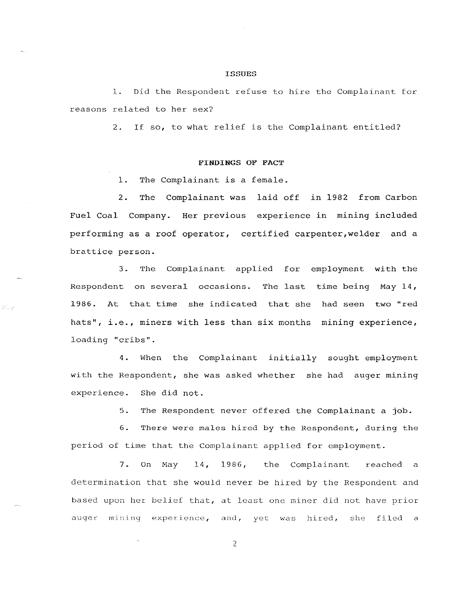#### **ISSUES**

1. Did the Respondent refuse to hire the Complainant for reasons related to her sex?

2. If so, to what relief is the Complainant entitled?

# FINDINGS OF FACT

1. The Complainant is a female.

de la

2. The Complainant was laid off in 1982 from Carbon Fuel Coal Company. Her previous experience in mining included performing as a roof operator, certified carpenter,welder and a brattice person.

3. The Complainant applied for employment with the Respondent on several occasions. The last time being May 14, 1986. At that time she indicated that she had seen two "red hats", i.e., miners with less than six months mining experience, loading "cribs".

4. When the Complainant initially sought employment with the Respondent, she was asked whether she had auger mining experience. She did not.

> 5. The Respondent never offered the Complainant a job.

6. There were males hired by the Respondent, during the period of time that the Complainant applied for employment.

7. On May 14, 1986, the Complainant reached a determination that she would never be hired by the Respondent and based upon her belief that, at least one miner did not have prior auger mining experience, and, yet was hired, she filed a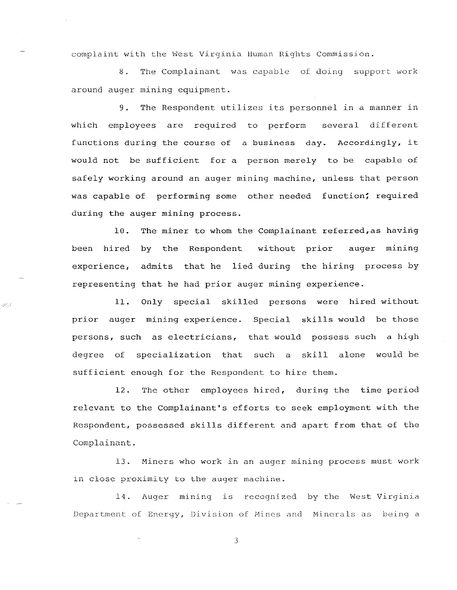complaint with the West Virginia Human Rights Commission.

8. The Complainant was capable of doing support work around auger mining equipment.

9. The Respondent utilizes its personnel in a manner in which employees are required to perform several different functions during the course of a business day. Accordingly, it would not be sufficient for a person merely to be capable of safely working around an auger mining machine, unless that person was capable of performing some other needed function; required during the auger mining process.

10. The miner to whom the Complainant referred,as having been hired by the Respondent without prior auger mining experience, admits that he lied during the hiring process by representing that he had prior auger mining experience.

11. Only special skilled persons were hired without prior auger mining experience. Special skills would be those persons, such as electricians, that would possess such a high degree of specialization that such a skill alone would be sufficient enough for the Respondent to hire them.

 $\mathcal{Q}(\mathcal{G})$ 

12. The other employees hired, during the time period relevant to the Complainant's efforts to seek employment with the Respondent, possessed skills different and apart from that of the Complainant.

13. Miners who work in an auger mining process must work in close proximity to the auger machine.

14. Auger mining is recognized by the West Virginia Department of Energy, Division of Mines and Minerals as being a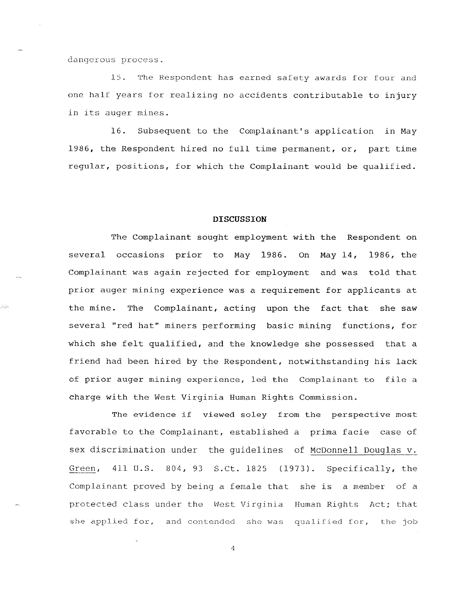dangerous process.

39

15. The Respondent has earned safety awards for four and one half years for realizing no accidents contributable to injury in its auger mines.

16. Subsequent to the Complainant's application in May 1986, the Respondent hired no full time permanent, or, part time regular, positions, for which the Complainant would be qualified.

# **DISCUSSION**

The Complainant sought employment with the Respondent on several occasions prior to May 1986. On May 14, 1986, the Complainant was again rejected for employment and was told that prior auger mining experience was a requirement for applicants at the mine. The Complainant, acting upon the fact that she saw several "red hat" miners performing basic mining functions, for which she felt qualified, and the knowledge she possessed that a friend had been hired by the Respondent, notwithstanding his lack of prior auger mining experience, led the Complainant to file a charge with the West Virginia Human Rights Commission.

The evidence if viewed soley from the perspective most favorable to the Complainant, established a prima facie case of sex discrimination under the guidelines of McDonnell Douglas v. Green, 411 U.S. 804, 93 S.Ct. 1825 (1973). Specifically, the Complainant proved by being a female that she is a member of a protected class under the West Virginia Human Rights Act; that she applied for, and contended she was qualified for, the job

 $\Delta$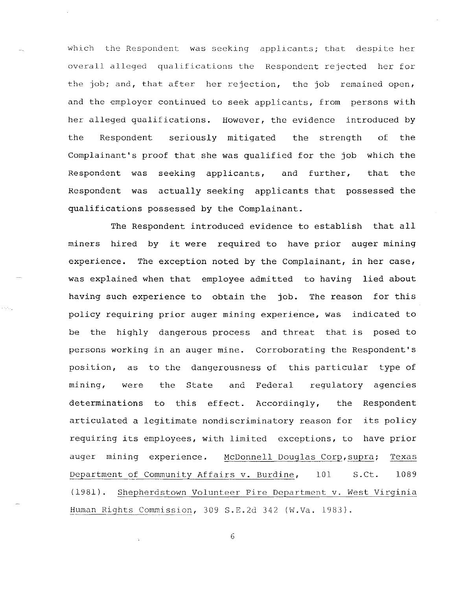which the Respondent was seeking applicants; that despite her overall alleged qualifications the Respondent rejected her for the job; and, that after her rejection, the job remained open, and the employer continued to seek applicants, from persons with her alleged qualifications. However, the evidence introduced by the Respondent seriously mitigated the strength of the Complainant's proof that she was qualified for the job which the Respondent was Respondent was actually seeking applicants that possessed the seeking applicants, and further, that the qualifications possessed by the Complainant.

The Respondent introduced evidence to establish that all miners hired by it were required to have prior auger mining experience. The exception noted by the Complainant, in her case, was explained when that employee admitted to having lied about having such experience to obtain the job. The reason for this policy requiring prior auger mining experience, was indicated to be the highly dangerous process and threat that is posed to persons working in an auger mine. Corroborating the Respondent's position, as to the dangerousness of this particular type of mining, were the State and Federal regulatory agencies determinations to this effect. Accordingly, the Respondent articulated a legitimate nondiscriminatory reason for its policy requiring its employees, with limited exceptions, to have prior auger mining experience. McDonnell Douglas Corp, supra; Texas Department of Community Affairs v. Burdine, 101 S.Ct. 1089 (1981). Shepherdstown Volunteer Fire Department v. West Virginia Human Rights Commission, 309 S.E.2d 342 (W.Va. 1983).

 $\sim 10^{11}$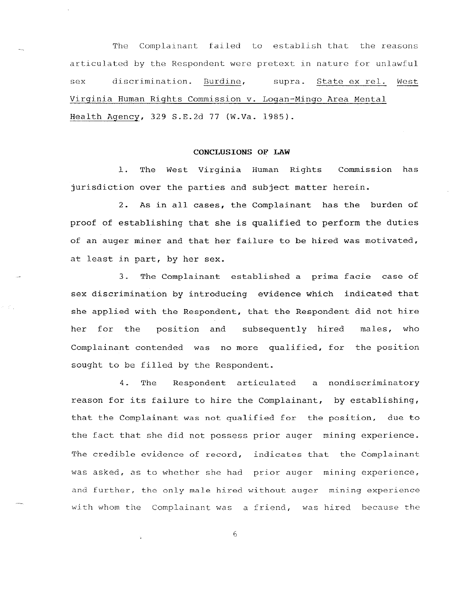The Complainant failed to establish that the reasons articulated by the Respondent were pretext in nature for unlawful sex discrimination. Burdine, supra. State ex reI. West Virginia Human Rights Commission v. Logan-Mingo Area Mental Health Agency, 329 S.E.2d 77 (W.Va. 1985).

# **CONCLUSIONS OF LAW**

1. The West Virginia Human Rights Commission has jurisdiction over the parties and subject matter herein.

2. As in all cases, the Complainant has the burden of proof of establishing that she is qualified to perform the duties of an auger miner and that her failure to be hired was motivated, at least in part, by her sex.

3. The Complainant established a prima facie case of sex discrimination by introducing evidence which indicated that she applied with the Respondent, that the Respondent did not hire her for the position and subsequently hired males, who Complainant contended was no more qualified, for the position sought to be filled by the Respondent.

4. The Respondent articulated a nondiscriminatory reason for its failure to hire the Complainant, by establishing, that the Complainant was not qualified for the position, due to the fact that she did not possess prior auger mining experience. The credible evidence of record, indicates that the Complainant was asked, as to whether she had prior auger mining experience, and further, the only male hired without auger mining experience with whom the Complainant was a friend, was hired because the